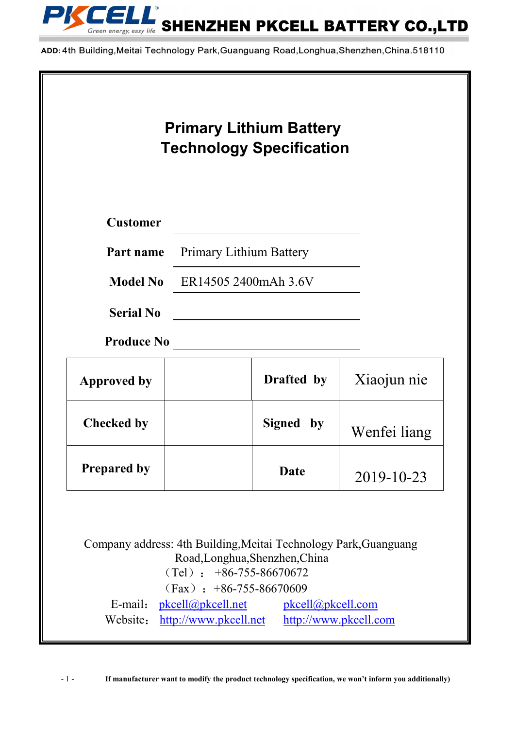

ADD: 4th Building, Meitai Technology Park, Guanguang Road, Longhua, Shenzhen, China. 518110

| <b>Customer</b><br><b>Primary Lithium Battery</b><br>Part name<br><b>Model No</b> ER14505 2400mAh 3.6V<br><b>Serial No</b><br><b>Produce No</b><br>Drafted by |  |              |
|---------------------------------------------------------------------------------------------------------------------------------------------------------------|--|--------------|
|                                                                                                                                                               |  |              |
|                                                                                                                                                               |  |              |
|                                                                                                                                                               |  |              |
| <b>Approved by</b>                                                                                                                                            |  |              |
|                                                                                                                                                               |  | Xiaojun nie  |
| <b>Checked by</b><br>Signed by                                                                                                                                |  | Wenfei liang |
| <b>Prepared by</b><br>Date                                                                                                                                    |  | 2019-10-23   |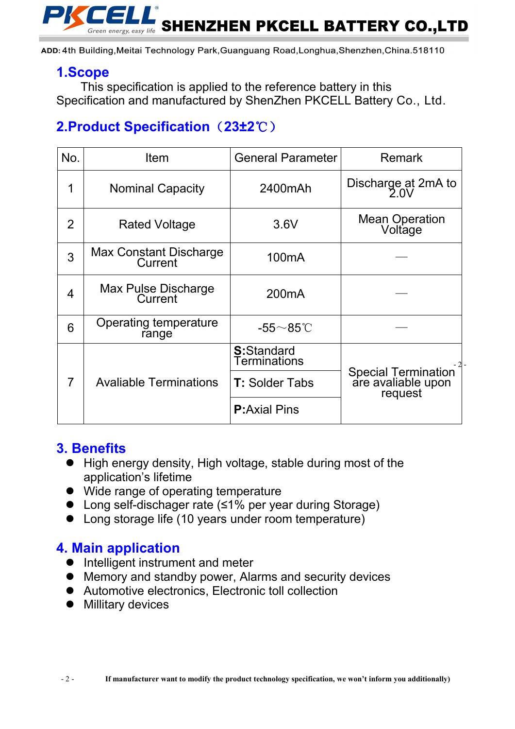

ADD: 4th Building, Meitai Technology Park, Guanguang Road, Longhua, Shenzhen, China. 518110

## **1.Scope**

This specification is applied to the reference battery in this Specification and manufactured by ShenZhen PKCELL Battery Co., Ltd.

# **2.Product Specification**(**23±2**℃)

| No.            | <b>Item</b>                       | <b>General Parameter</b>           | <b>Remark</b>                                        |  |
|----------------|-----------------------------------|------------------------------------|------------------------------------------------------|--|
|                | <b>Nominal Capacity</b>           | 2400mAh                            | Discharge at 2mA to<br>$2.0\mathrm{V}$               |  |
| $\overline{2}$ | <b>Rated Voltage</b>              | 3.6V                               | Mean Operation<br>Voltage                            |  |
| 3              | Max Constant Discharge<br>Current | 100 <sub>m</sub> A                 |                                                      |  |
| $\overline{4}$ | Max Pulse Discharge<br>Current    | 200mA                              |                                                      |  |
| 6              | Operating temperature<br>range    | -55 $\sim$ 85°C                    |                                                      |  |
| 7              | <b>Avaliable Terminations</b>     | <b>S:</b> Standard<br>Terminations |                                                      |  |
|                |                                   | <b>T: Solder Tabs</b>              | Special Termination<br>are avaliable upon<br>request |  |
|                |                                   | <b>P:</b> Axial Pins               |                                                      |  |

## **3. Benefits**

- High energy density, High voltage, stable during most of the application's lifetime
- Wide range of operating temperature
- Long self-dischager rate (≤1% per year during Storage)
- Long storage life (10 years under room temperature)

## **4. Main application**

- Intelligent instrument and meter
- Memory and standby power, Alarms and security devices
- Automotive electronics, Electronic toll collection
- **•** Millitary devices